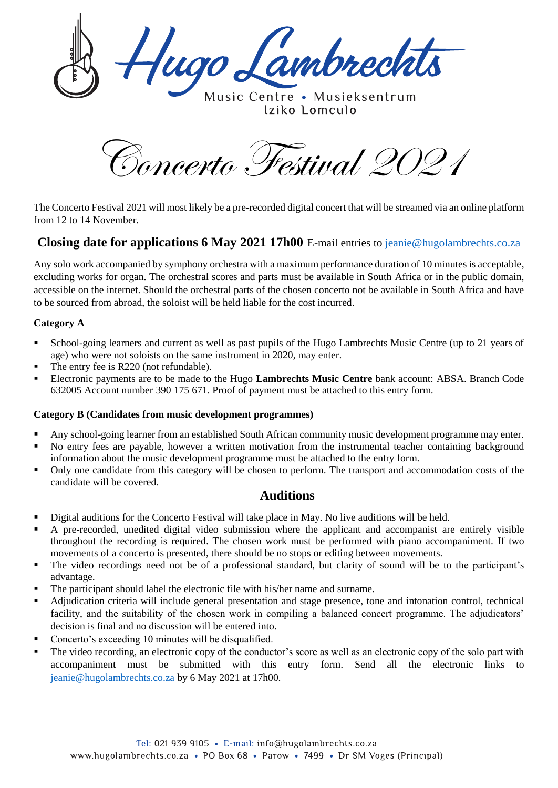lugo Lambrechts

Music Centre . Musieksentrum Iziko 1 omculo

Concerto Festival 2021

The Concerto Festival 2021 will most likely be a pre-recorded digital concert that will be streamed via an online platform from 12 to 14 November.

# **Closing date for applications 6 May 2021 17h00** E-mail entries to [jeanie@hugolambrechts.co.za](mailto:jeanie@hugolambrechts.co.za)

Any solo work accompanied by symphony orchestra with a maximum performance duration of 10 minutes is acceptable, excluding works for organ. The orchestral scores and parts must be available in South Africa or in the public domain, accessible on the internet. Should the orchestral parts of the chosen concerto not be available in South Africa and have to be sourced from abroad, the soloist will be held liable for the cost incurred.

#### **Category A**

- School-going learners and current as well as past pupils of the Hugo Lambrechts Music Centre (up to 21 years of age) who were not soloists on the same instrument in 2020, may enter.
- The entry fee is R220 (not refundable).
- Electronic payments are to be made to the Hugo **Lambrechts Music Centre** bank account: ABSA. Branch Code 632005 Account number 390 175 671. Proof of payment must be attached to this entry form.

#### **Category B (Candidates from music development programmes)**

- Any school-going learner from an established South African community music development programme may enter.
- No entry fees are payable, however a written motivation from the instrumental teacher containing background information about the music development programme must be attached to the entry form.
- Only one candidate from this category will be chosen to perform. The transport and accommodation costs of the candidate will be covered.

### **Auditions**

- Digital auditions for the Concerto Festival will take place in May. No live auditions will be held.
- A pre-recorded, unedited digital video submission where the applicant and accompanist are entirely visible throughout the recording is required. The chosen work must be performed with piano accompaniment. If two movements of a concerto is presented, there should be no stops or editing between movements.
- The video recordings need not be of a professional standard, but clarity of sound will be to the participant's advantage.
- The participant should label the electronic file with his/her name and surname.
- Adjudication criteria will include general presentation and stage presence, tone and intonation control, technical facility, and the suitability of the chosen work in compiling a balanced concert programme. The adjudicators' decision is final and no discussion will be entered into.
- Concerto's exceeding 10 minutes will be disqualified.
- The video recording, an electronic copy of the conductor's score as well as an electronic copy of the solo part with accompaniment must be submitted with this entry form. Send all the electronic links to [jeanie@hugolambrechts.co.za](mailto:jeanie@hugolambrechts.co.za) by 6 May 2021 at 17h00.